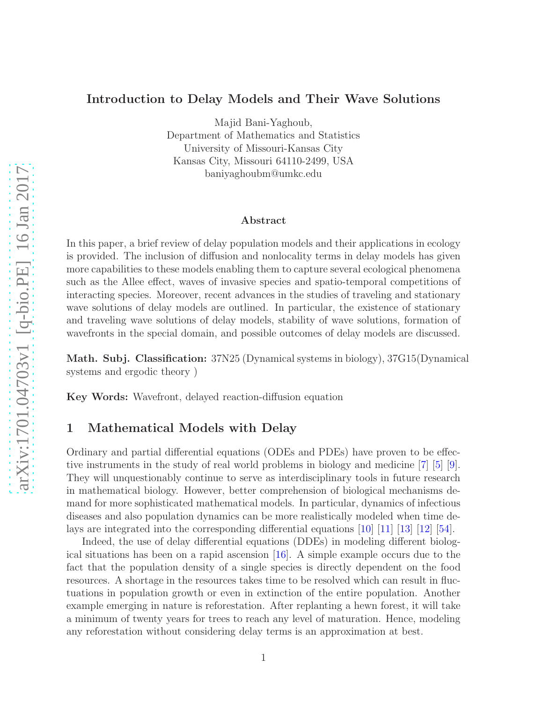# Introduction to Delay Models and Their Wave Solutions

Majid Bani-Yaghoub,

Department of Mathematics and Statistics University of Missouri-Kansas City Kansas City, Missouri 64110-2499, USA baniyaghoubm@umkc.edu

#### Abstract

In this paper, a brief review of delay population models and their applications in ecology is provided. The inclusion of diffusion and nonlocality terms in delay models has given more capabilities to these models enabling them to capture several ecological phenomena such as the Allee effect, waves of invasive species and spatio-temporal competitions of interacting species. Moreover, recent advances in the studies of traveling and stationary wave solutions of delay models are outlined. In particular, the existence of stationary and traveling wave solutions of delay models, stability of wave solutions, formation of wavefronts in the special domain, and possible outcomes of delay models are discussed.

Math. Subj. Classification: 37N25 (Dynamical systems in biology), 37G15(Dynamical systems and ergodic theory )

Key Words: Wavefront, delayed reaction-diffusion equation

# 1 Mathematical Models with Delay

Ordinary and partial differential equations (ODEs and PDEs) have proven to be effective instruments in the study of real world problems in biology and medicine [\[7\]](#page-12-0) [5] [\[9\]](#page-13-0). They will unquestionably continue to serve as interdisciplinary tools in future research in mathematical biology. However, better comprehension of biological mechanisms demand for more sophisticated mathematical models. In particular, dynamics of infectious diseases and also population dynamics can be more realistically modeled when time delays are integrated into the corresponding differential equations [\[10\]](#page-13-1) [\[11\]](#page-13-2) [\[13\]](#page-13-3) [\[12\]](#page-13-4) [\[54\]](#page-16-0).

Indeed, the use of delay differential equations (DDEs) in modeling different biological situations has been on a rapid ascension [\[16\]](#page-13-5). A simple example occurs due to the fact that the population density of a single species is directly dependent on the food resources. A shortage in the resources takes time to be resolved which can result in fluctuations in population growth or even in extinction of the entire population. Another example emerging in nature is reforestation. After replanting a hewn forest, it will take a minimum of twenty years for trees to reach any level of maturation. Hence, modeling any reforestation without considering delay terms is an approximation at best.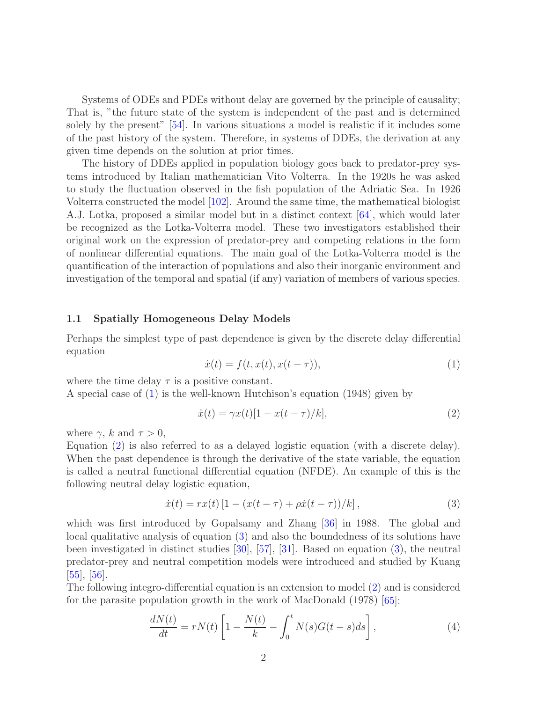Systems of ODEs and PDEs without delay are governed by the principle of causality; That is, "the future state of the system is independent of the past and is determined solely by the present" [\[54\]](#page-16-0). In various situations a model is realistic if it includes some of the past history of the system. Therefore, in systems of DDEs, the derivation at any given time depends on the solution at prior times.

The history of DDEs applied in population biology goes back to predator-prey systems introduced by Italian mathematician Vito Volterra. In the 1920s he was asked to study the fluctuation observed in the fish population of the Adriatic Sea. In 1926 Volterra constructed the model [102]. Around the same time, the mathematical biologist A.J. Lotka, proposed a similar model but in a distinct context [64], which would later be recognized as the Lotka-Volterra model. These two investigators established their original work on the expression of predator-prey and competing relations in the form of nonlinear differential equations. The main goal of the Lotka-Volterra model is the quantification of the interaction of populations and also their inorganic environment and investigation of the temporal and spatial (if any) variation of members of various species.

### 1.1 Spatially Homogeneous Delay Models

Perhaps the simplest type of past dependence is given by the discrete delay differential equation

<span id="page-1-0"></span>
$$
\dot{x}(t) = f(t, x(t), x(t-\tau)),\tag{1}
$$

where the time delay  $\tau$  is a positive constant.

A special case of [\(1\)](#page-1-0) is the well-known Hutchison's equation (1948) given by

<span id="page-1-1"></span>
$$
\dot{x}(t) = \gamma x(t)[1 - x(t - \tau)/k],\tag{2}
$$

where  $\gamma$ , k and  $\tau > 0$ ,

Equation [\(2\)](#page-1-1) is also referred to as a delayed logistic equation (with a discrete delay). When the past dependence is through the derivative of the state variable, the equation is called a neutral functional differential equation (NFDE). An example of this is the following neutral delay logistic equation,

<span id="page-1-2"></span>
$$
\dot{x}(t) = rx(t) \left[ 1 - (x(t - \tau) + \rho \dot{x}(t - \tau))/k \right],
$$
\n(3)

which was first introduced by Gopalsamy and Zhang [\[36\]](#page-14-0) in 1988. The global and local qualitative analysis of equation [\(3\)](#page-1-2) and also the boundedness of its solutions have been investigated in distinct studies [30], [57], [31]. Based on equation [\(3\)](#page-1-2), the neutral predator-prey and neutral competition models were introduced and studied by Kuang [55], [56].

The following integro-differential equation is an extension to model [\(2\)](#page-1-1) and is considered for the parasite population growth in the work of MacDonald (1978) [65]:

<span id="page-1-3"></span>
$$
\frac{dN(t)}{dt} = rN(t)\left[1 - \frac{N(t)}{k} - \int_0^t N(s)G(t-s)ds\right],\tag{4}
$$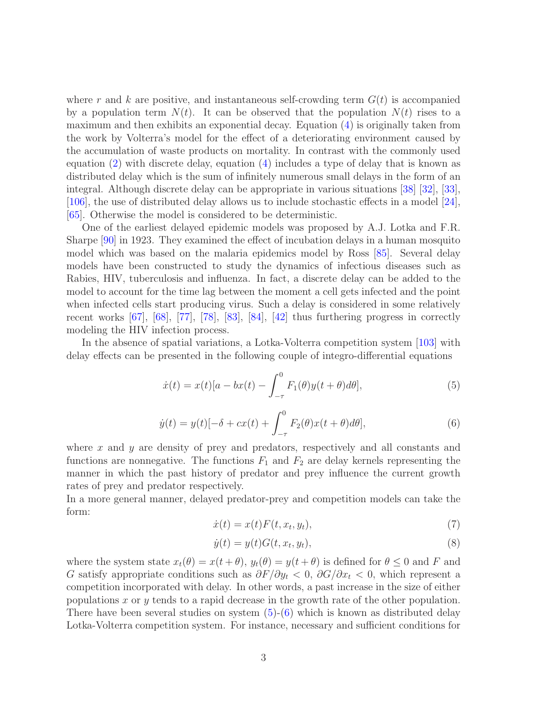where r and k are positive, and instantaneous self-crowding term  $G(t)$  is accompanied by a population term  $N(t)$ . It can be observed that the population  $N(t)$  rises to a maximum and then exhibits an exponential decay. Equation [\(4\)](#page-1-3) is originally taken from the work by Volterra's model for the effect of a deteriorating environment caused by the accumulation of waste products on mortality. In contrast with the commonly used equation [\(2\)](#page-1-1) with discrete delay, equation [\(4\)](#page-1-3) includes a type of delay that is known as distributed delay which is the sum of infinitely numerous small delays in the form of an integral. Although discrete delay can be appropriate in various situations [38] [32], [33], [106], the use of distributed delay allows us to include stochastic effects in a model [24], [65]. Otherwise the model is considered to be deterministic.

One of the earliest delayed epidemic models was proposed by A.J. Lotka and F.R. Sharpe [90] in 1923. They examined the effect of incubation delays in a human mosquito model which was based on the malaria epidemics model by Ross [85]. Several delay models have been constructed to study the dynamics of infectious diseases such as Rabies, HIV, tuberculosis and influenza. In fact, a discrete delay can be added to the model to account for the time lag between the moment a cell gets infected and the point when infected cells start producing virus. Such a delay is considered in some relatively recent works [67], [68], [77], [78], [83], [84], [42] thus furthering progress in correctly modeling the HIV infection process.

In the absence of spatial variations, a Lotka-Volterra competition system [103] with delay effects can be presented in the following couple of integro-differential equations

<span id="page-2-0"></span>
$$
\dot{x}(t) = x(t)[a - bx(t) - \int_{-\tau}^{0} F_1(\theta)y(t + \theta)d\theta],\tag{5}
$$

<span id="page-2-1"></span>
$$
\dot{y}(t) = y(t)[-\delta + cx(t) + \int_{-\tau}^{0} F_2(\theta)x(t+\theta)d\theta],\tag{6}
$$

where  $x$  and  $y$  are density of prey and predators, respectively and all constants and functions are nonnegative. The functions  $F_1$  and  $F_2$  are delay kernels representing the manner in which the past history of predator and prey influence the current growth rates of prey and predator respectively.

In a more general manner, delayed predator-prey and competition models can take the form:

$$
\dot{x}(t) = x(t)F(t, x_t, y_t),\tag{7}
$$

$$
\dot{y}(t) = y(t)G(t, x_t, y_t),\tag{8}
$$

where the system state  $x_t(\theta) = x(t + \theta)$ ,  $y_t(\theta) = y(t + \theta)$  is defined for  $\theta \leq 0$  and F and G satisfy appropriate conditions such as  $\partial F/\partial y_t < 0$ ,  $\partial G/\partial x_t < 0$ , which represent a competition incorporated with delay. In other words, a past increase in the size of either populations x or y tends to a rapid decrease in the growth rate of the other population. There have been several studies on system  $(5)-(6)$  $(5)-(6)$  which is known as distributed delay Lotka-Volterra competition system. For instance, necessary and sufficient conditions for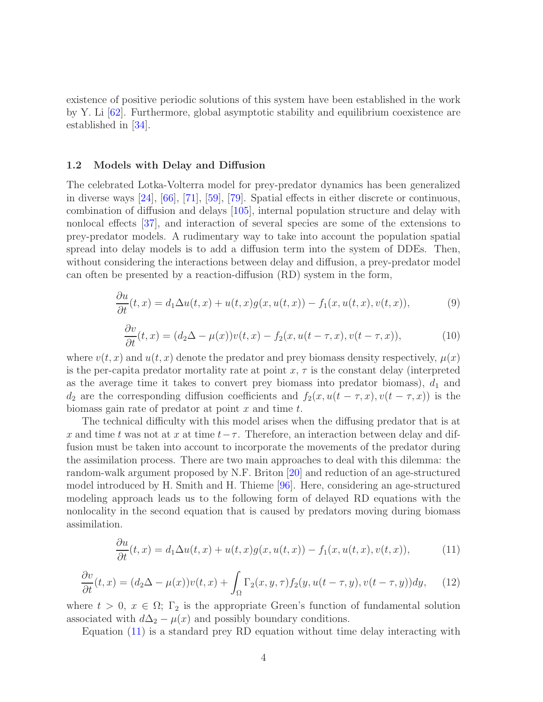existence of positive periodic solutions of this system have been established in the work by Y. Li [62]. Furthermore, global asymptotic stability and equilibrium coexistence are established in [34].

## 1.2 Models with Delay and Diffusion

The celebrated Lotka-Volterra model for prey-predator dynamics has been generalized in diverse ways [24], [\[66\]](#page-17-0), [\[71\]](#page-17-1), [\[59\]](#page-16-1), [79]. Spatial effects in either discrete or continuous, combination of diffusion and delays [105], internal population structure and delay with nonlocal effects [37], and interaction of several species are some of the extensions to prey-predator models. A rudimentary way to take into account the population spatial spread into delay models is to add a diffusion term into the system of DDEs. Then, without considering the interactions between delay and diffusion, a prey-predator model can often be presented by a reaction-diffusion (RD) system in the form,

$$
\frac{\partial u}{\partial t}(t,x) = d_1 \Delta u(t,x) + u(t,x)g(x,u(t,x)) - f_1(x,u(t,x),v(t,x)),\tag{9}
$$

$$
\frac{\partial v}{\partial t}(t,x) = (d_2 \Delta - \mu(x))v(t,x) - f_2(x, u(t-\tau,x), v(t-\tau,x)), \tag{10}
$$

where  $v(t, x)$  and  $u(t, x)$  denote the predator and prey biomass density respectively,  $\mu(x)$ is the per-capita predator mortality rate at point  $x, \tau$  is the constant delay (interpreted as the average time it takes to convert prey biomass into predator biomass),  $d_1$  and  $d_2$  are the corresponding diffusion coefficients and  $f_2(x, u(t - \tau, x), v(t - \tau, x))$  is the biomass gain rate of predator at point  $x$  and time  $t$ .

The technical difficulty with this model arises when the diffusing predator that is at x and time t was not at x at time  $t-\tau$ . Therefore, an interaction between delay and diffusion must be taken into account to incorporate the movements of the predator during the assimilation process. There are two main approaches to deal with this dilemma: the random-walk argument proposed by N.F. Briton [20] and reduction of an age-structured model introduced by H. Smith and H. Thieme [96]. Here, considering an age-structured modeling approach leads us to the following form of delayed RD equations with the nonlocality in the second equation that is caused by predators moving during biomass assimilation.

<span id="page-3-0"></span>
$$
\frac{\partial u}{\partial t}(t,x) = d_1 \Delta u(t,x) + u(t,x)g(x,u(t,x)) - f_1(x,u(t,x),v(t,x)),\tag{11}
$$

<span id="page-3-1"></span>
$$
\frac{\partial v}{\partial t}(t,x) = (d_2\Delta - \mu(x))v(t,x) + \int_{\Omega} \Gamma_2(x,y,\tau) f_2(y,u(t-\tau,y),v(t-\tau,y))dy,\tag{12}
$$

where  $t > 0$ ,  $x \in \Omega$ ;  $\Gamma_2$  is the appropriate Green's function of fundamental solution associated with  $d\Delta_2 - \mu(x)$  and possibly boundary conditions.

Equation [\(11\)](#page-3-0) is a standard prey RD equation without time delay interacting with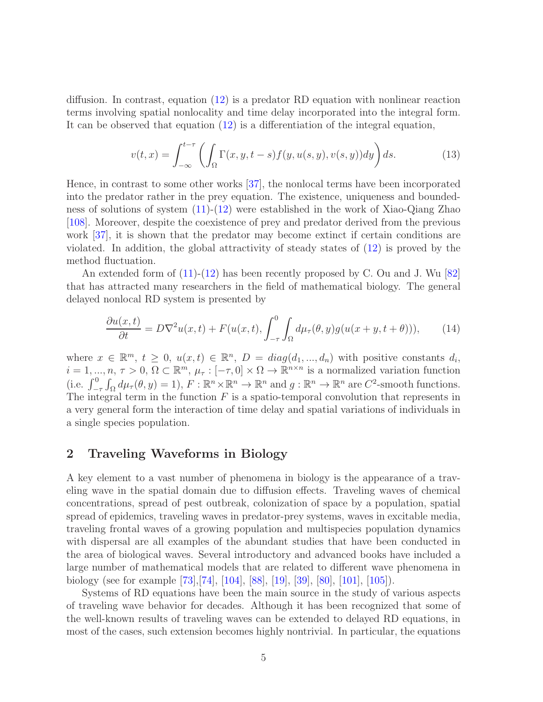diffusion. In contrast, equation [\(12\)](#page-3-1) is a predator RD equation with nonlinear reaction terms involving spatial nonlocality and time delay incorporated into the integral form. It can be observed that equation [\(12\)](#page-3-1) is a differentiation of the integral equation,

$$
v(t,x) = \int_{-\infty}^{t-\tau} \left( \int_{\Omega} \Gamma(x, y, t-s) f(y, u(s, y), v(s, y)) dy \right) ds.
$$
 (13)

Hence, in contrast to some other works [37], the nonlocal terms have been incorporated into the predator rather in the prey equation. The existence, uniqueness and boundedness of solutions of system [\(11\)](#page-3-0)-[\(12\)](#page-3-1) were established in the work of Xiao-Qiang Zhao [\[108\]](#page-19-0). Moreover, despite the coexistence of prey and predator derived from the previous work [37], it is shown that the predator may become extinct if certain conditions are violated. In addition, the global attractivity of steady states of [\(12\)](#page-3-1) is proved by the method fluctuation.

An extended form of  $(11)-(12)$  $(11)-(12)$  has been recently proposed by C. Ou and J. Wu  $|82|$ that has attracted many researchers in the field of mathematical biology. The general delayed nonlocal RD system is presented by

<span id="page-4-0"></span>
$$
\frac{\partial u(x,t)}{\partial t} = D\nabla^2 u(x,t) + F(u(x,t), \int_{-\tau}^0 \int_{\Omega} d\mu_{\tau}(\theta, y) g(u(x+y, t+\theta))), \tag{14}
$$

where  $x \in \mathbb{R}^m$ ,  $t \geq 0$ ,  $u(x,t) \in \mathbb{R}^n$ ,  $D = diag(d_1, ..., d_n)$  with positive constants  $d_i$ ,  $i = 1, ..., n, \tau > 0, \Omega \subset \mathbb{R}^m, \mu_{\tau} : [-\tau, 0] \times \Omega \to \mathbb{R}^{n \times n}$  is a normalized variation function (i.e.  $\int_{-\tau}^{0} \int_{\Omega} d\mu_{\tau}(\theta, y) = 1$ ),  $F : \mathbb{R}^{n} \times \mathbb{R}^{n} \to \mathbb{R}^{n}$  and  $g : \mathbb{R}^{n} \to \mathbb{R}^{n}$  are  $C^{2}$ -smooth functions. The integral term in the function  $F$  is a spatio-temporal convolution that represents in a very general form the interaction of time delay and spatial variations of individuals in a single species population.

# 2 Traveling Waveforms in Biology

A key element to a vast number of phenomena in biology is the appearance of a traveling wave in the spatial domain due to diffusion effects. Traveling waves of chemical concentrations, spread of pest outbreak, colonization of space by a population, spatial spread of epidemics, traveling waves in predator-prey systems, waves in excitable media, traveling frontal waves of a growing population and multispecies population dynamics with dispersal are all examples of the abundant studies that have been conducted in the area of biological waves. Several introductory and advanced books have included a large number of mathematical models that are related to different wave phenomena in biology (see for example [73],[74], [104], [88], [19], [39], [80], [101], [105]).

Systems of RD equations have been the main source in the study of various aspects of traveling wave behavior for decades. Although it has been recognized that some of the well-known results of traveling waves can be extended to delayed RD equations, in most of the cases, such extension becomes highly nontrivial. In particular, the equations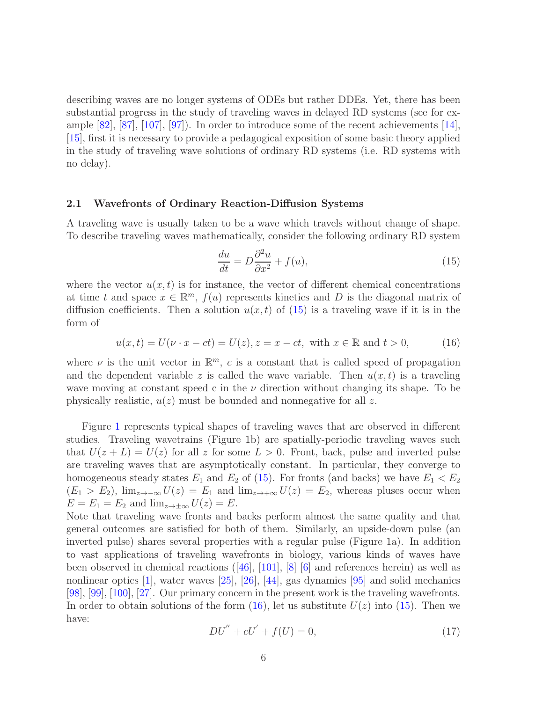describing waves are no longer systems of ODEs but rather DDEs. Yet, there has been substantial progress in the study of traveling waves in delayed RD systems (see for example [82], [87], [107], [97]). In order to introduce some of the recent achievements [\[14\]](#page-13-6), [\[15\]](#page-13-7), first it is necessary to provide a pedagogical exposition of some basic theory applied in the study of traveling wave solutions of ordinary RD systems (i.e. RD systems with no delay).

#### 2.1 Wavefronts of Ordinary Reaction-Diffusion Systems

A traveling wave is usually taken to be a wave which travels without change of shape. To describe traveling waves mathematically, consider the following ordinary RD system

<span id="page-5-0"></span>
$$
\frac{du}{dt} = D\frac{\partial^2 u}{\partial x^2} + f(u),\tag{15}
$$

where the vector  $u(x, t)$  is for instance, the vector of different chemical concentrations at time t and space  $x \in \mathbb{R}^m$ ,  $f(u)$  represents kinetics and D is the diagonal matrix of diffusion coefficients. Then a solution  $u(x, t)$  of [\(15\)](#page-5-0) is a traveling wave if it is in the form of

<span id="page-5-1"></span>
$$
u(x,t) = U(\nu \cdot x - ct) = U(z), z = x - ct, \text{ with } x \in \mathbb{R} \text{ and } t > 0,
$$
 (16)

where  $\nu$  is the unit vector in  $\mathbb{R}^m$ , c is a constant that is called speed of propagation and the dependent variable z is called the wave variable. Then  $u(x, t)$  is a traveling wave moving at constant speed c in the  $\nu$  direction without changing its shape. To be physically realistic,  $u(z)$  must be bounded and nonnegative for all z.

Figure [1](#page-6-0) represents typical shapes of traveling waves that are observed in different studies. Traveling wavetrains (Figure 1b) are spatially-periodic traveling waves such that  $U(z + L) = U(z)$  for all z for some  $L > 0$ . Front, back, pulse and inverted pulse are traveling waves that are asymptotically constant. In particular, they converge to homogeneous steady states  $E_1$  and  $E_2$  of [\(15\)](#page-5-0). For fronts (and backs) we have  $E_1 < E_2$  $(E_1 > E_2)$ ,  $\lim_{z \to -\infty} U(z) = E_1$  and  $\lim_{z \to +\infty} U(z) = E_2$ , whereas pluses occur when  $E = E_1 = E_2$  and  $\lim_{z \to \pm \infty} U(z) = E$ .

Note that traveling wave fronts and backs perform almost the same quality and that general outcomes are satisfied for both of them. Similarly, an upside-down pulse (an inverted pulse) shares several properties with a regular pulse (Figure 1a). In addition to vast applications of traveling wavefronts in biology, various kinds of waves have been observed in chemical reactions  $([46], [101], [8]$  [6] and references herein) as well as nonlinear optics [1], water waves [25], [26], [44], gas dynamics [95] and solid mechanics [98], [99], [100], [27]. Our primary concern in the present work is the traveling wavefronts. In order to obtain solutions of the form  $(16)$ , let us substitute  $U(z)$  into  $(15)$ . Then we have:

<span id="page-5-2"></span>
$$
DU'' + cU' + f(U) = 0,
$$
\n(17)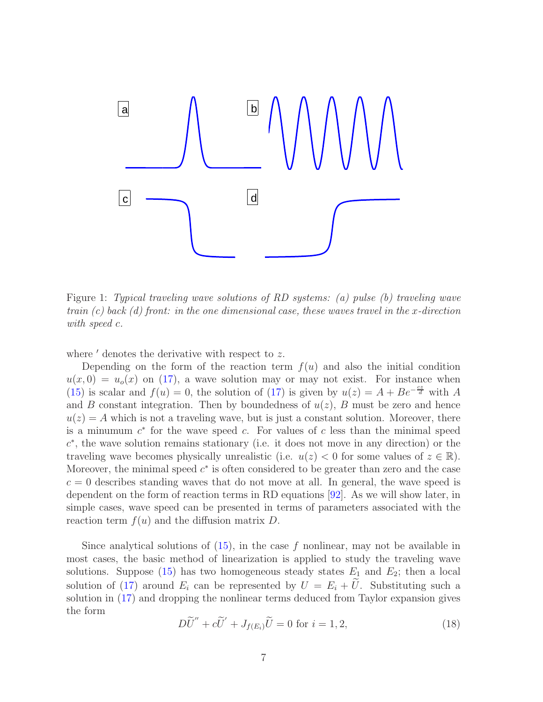

<span id="page-6-0"></span>Figure 1: *Typical traveling wave solutions of RD systems: (a) pulse (b) traveling wave train (c) back (d) front: in the one dimensional case, these waves travel in the x-direction with speed* c*.*

where  $\prime$  denotes the derivative with respect to z.

Depending on the form of the reaction term  $f(u)$  and also the initial condition  $u(x, 0) = u<sub>o</sub>(x)$  on [\(17\)](#page-5-2), a wave solution may or may not exist. For instance when [\(15\)](#page-5-0) is scalar and  $f(u) = 0$ , the solution of [\(17\)](#page-5-2) is given by  $u(z) = A + Be^{-\frac{cz}{d}}$  with A and B constant integration. Then by boundedness of  $u(z)$ , B must be zero and hence  $u(z) = A$  which is not a traveling wave, but is just a constant solution. Moreover, there is a minumum  $c^*$  for the wave speed c. For values of c less than the minimal speed c ∗ , the wave solution remains stationary (i.e. it does not move in any direction) or the traveling wave becomes physically unrealistic (i.e.  $u(z) < 0$  for some values of  $z \in \mathbb{R}$ ). Moreover, the minimal speed  $c^*$  is often considered to be greater than zero and the case  $c = 0$  describes standing waves that do not move at all. In general, the wave speed is dependent on the form of reaction terms in RD equations [92]. As we will show later, in simple cases, wave speed can be presented in terms of parameters associated with the reaction term  $f(u)$  and the diffusion matrix D.

Since analytical solutions of  $(15)$ , in the case f nonlinear, may not be available in most cases, the basic method of linearization is applied to study the traveling wave solutions. Suppose [\(15\)](#page-5-0) has two homogeneous steady states  $E_1$  and  $E_2$ ; then a local solution of [\(17\)](#page-5-2) around  $E_i$  can be represented by  $U = E_i + U$ . Substituting such a solution in [\(17\)](#page-5-2) and dropping the nonlinear terms deduced from Taylor expansion gives the form

$$
D\widetilde{U}'' + c\widetilde{U}' + J_{f(E_i)}\widetilde{U} = 0 \text{ for } i = 1, 2,
$$
\n(18)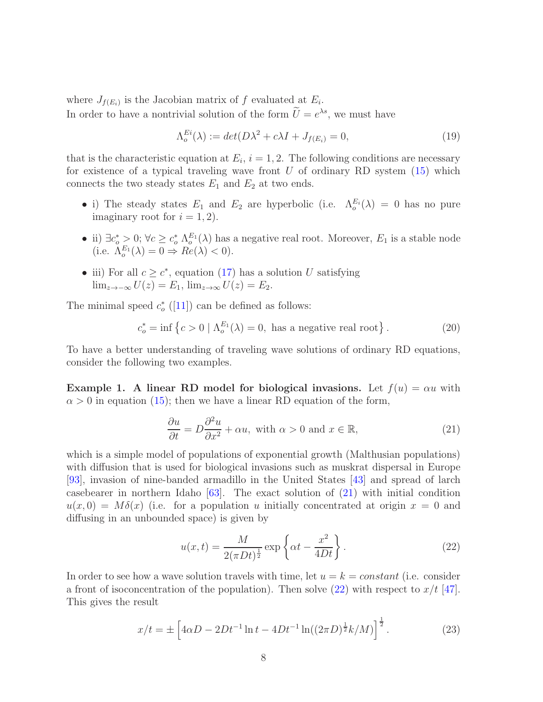where  $J_{f(E_i)}$  is the Jacobian matrix of f evaluated at  $E_i$ . In order to have a nontrivial solution of the form  $\tilde{U} = e^{\lambda s}$ , we must have

<span id="page-7-2"></span>
$$
\Lambda_o^{Ei}(\lambda) := det(D\lambda^2 + c\lambda I + J_{f(E_i)} = 0,
$$
\n(19)

that is the characteristic equation at  $E_i$ ,  $i = 1, 2$ . The following conditions are necessary for existence of a typical traveling wave front  $U$  of ordinary RD system  $(15)$  which connects the two steady states  $E_1$  and  $E_2$  at two ends.

- i) The steady states  $E_1$  and  $E_2$  are hyperbolic (i.e.  $\Lambda_o^{E_i}(\lambda) = 0$  has no pure imaginary root for  $i = 1, 2$ .
- ii)  $\exists c_o^* > 0$ ;  $\forall c \geq c_o^* \Lambda_o^{E_1}(\lambda)$  has a negative real root. Moreover,  $E_1$  is a stable node (i.e.  $\Lambda_o^{E_1}(\lambda) = 0 \Rightarrow Re(\lambda) < 0$ ).
- iii) For all  $c \geq c^*$ , equation [\(17\)](#page-5-2) has a solution U satisfying  $\lim_{z\to-\infty} U(z) = E_1$ ,  $\lim_{z\to\infty} U(z) = E_2$ .

The minimal speed  $c_o^*$  $_{o}^{*}$  ([\[11\]](#page-13-2)) can be defined as follows:

<span id="page-7-3"></span>
$$
c_o^* = \inf \left\{ c > 0 \mid \Lambda_o^{E_1}(\lambda) = 0, \text{ has a negative real root} \right\}. \tag{20}
$$

To have a better understanding of traveling wave solutions of ordinary RD equations, consider the following two examples.

**Example 1.** A linear RD model for biological invasions. Let  $f(u) = \alpha u$  with  $\alpha > 0$  in equation [\(15\)](#page-5-0); then we have a linear RD equation of the form,

<span id="page-7-0"></span>
$$
\frac{\partial u}{\partial t} = D \frac{\partial^2 u}{\partial x^2} + \alpha u, \text{ with } \alpha > 0 \text{ and } x \in \mathbb{R},
$$
\n(21)

which is a simple model of populations of exponential growth (Malthusian populations) with diffusion that is used for biological invasions such as muskrat dispersal in Europe [93], invasion of nine-banded armadillo in the United States [43] and spread of larch casebearer in northern Idaho  $[63]$ . The exact solution of  $(21)$  with initial condition  $u(x, 0) = M\delta(x)$  (i.e. for a population u initially concentrated at origin  $x = 0$  and diffusing in an unbounded space) is given by

<span id="page-7-1"></span>
$$
u(x,t) = \frac{M}{2(\pi Dt)^{\frac{1}{2}}} \exp\left\{\alpha t - \frac{x^2}{4Dt}\right\}.
$$
 (22)

In order to see how a wave solution travels with time, let  $u = k = constant$  (i.e. consider a front of isoconcentration of the population). Then solve  $(22)$  with respect to  $x/t$  [47]. This gives the result

$$
x/t = \pm \left[ 4\alpha D - 2Dt^{-1}\ln t - 4Dt^{-1}\ln((2\pi D)^{\frac{1}{2}}k/M) \right]^{\frac{1}{2}}.
$$
 (23)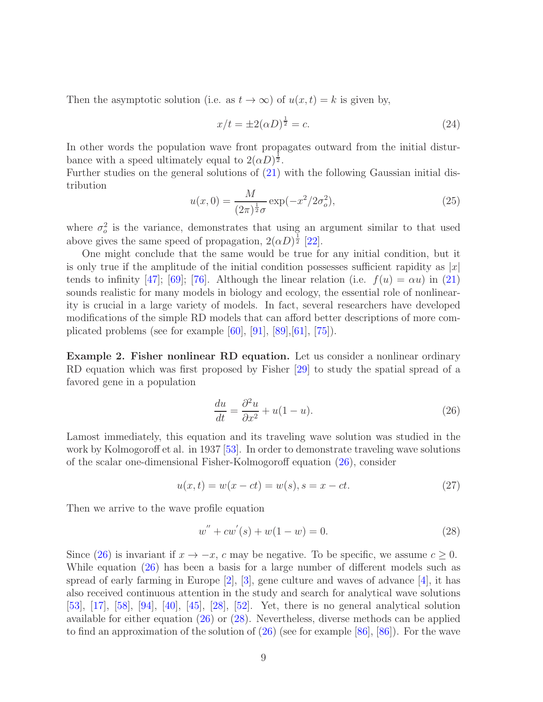Then the asymptotic solution (i.e. as  $t \to \infty$ ) of  $u(x, t) = k$  is given by,

$$
x/t = \pm 2(\alpha D)^{\frac{1}{2}} = c.
$$
 (24)

In other words the population wave front propagates outward from the initial disturbance with a speed ultimately equal to  $2(\alpha D)^{\frac{1}{2}}$ .

Further studies on the general solutions of [\(21\)](#page-7-0) with the following Gaussian initial distribution

$$
u(x,0) = \frac{M}{(2\pi)^{\frac{1}{2}}\sigma} \exp(-x^2/2\sigma_o^2),
$$
\n(25)

where  $\sigma_o^2$  is the variance, demonstrates that using an argument similar to that used above gives the same speed of propagation,  $2(\alpha D)^{\frac{1}{2}}$  [22].

One might conclude that the same would be true for any initial condition, but it is only true if the amplitude of the initial condition possesses sufficient rapidity as  $|x|$ tends to infinity [47]; [69]; [76]. Although the linear relation (i.e.  $f(u) = \alpha u$ ) in [\(21\)](#page-7-0) sounds realistic for many models in biology and ecology, the essential role of nonlinearity is crucial in a large variety of models. In fact, several researchers have developed modifications of the simple RD models that can afford better descriptions of more complicated problems (see for example [60], [91], [89],[61], [75]).

Example 2. Fisher nonlinear RD equation. Let us consider a nonlinear ordinary RD equation which was first proposed by Fisher [29] to study the spatial spread of a favored gene in a population

<span id="page-8-0"></span>
$$
\frac{du}{dt} = \frac{\partial^2 u}{\partial x^2} + u(1 - u). \tag{26}
$$

Lamost immediately, this equation and its traveling wave solution was studied in the work by Kolmogoroff et al. in 1937 [53]. In order to demonstrate traveling wave solutions of the scalar one-dimensional Fisher-Kolmogoroff equation [\(26\)](#page-8-0), consider

<span id="page-8-2"></span>
$$
u(x,t) = w(x - ct) = w(s), s = x - ct.
$$
\n(27)

Then we arrive to the wave profile equation

<span id="page-8-1"></span>
$$
w'' + cw'(s) + w(1 - w) = 0.
$$
\n(28)

Since [\(26\)](#page-8-0) is invariant if  $x \to -x$ , c may be negative. To be specific, we assume  $c \geq 0$ . While equation [\(26\)](#page-8-0) has been a basis for a large number of different models such as spread of early farming in Europe  $[2]$ ,  $[3]$ , gene culture and waves of advance  $[4]$ , it has also received continuous attention in the study and search for analytical wave solutions [53], [\[17\]](#page-13-8), [\[58\]](#page-16-2), [94], [\[40\]](#page-15-0), [\[45\]](#page-15-1), [\[28\]](#page-14-1), [\[52\]](#page-16-3). Yet, there is no general analytical solution available for either equation [\(26\)](#page-8-0) or [\(28\)](#page-8-1). Nevertheless, diverse methods can be applied to find an approximation of the solution of [\(26\)](#page-8-0) (see for example [\[86\]](#page-18-0), [\[86\]](#page-18-0)). For the wave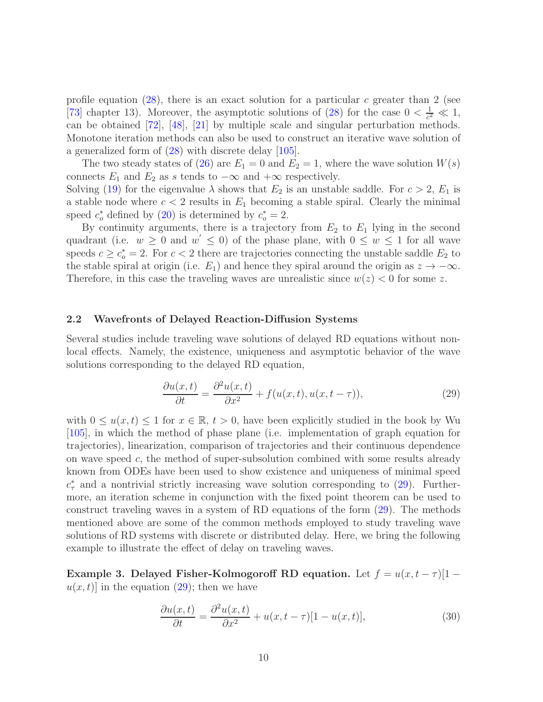profile equation [\(28\)](#page-8-1), there is an exact solution for a particular c greater than 2 (see [73] chapter 13). Moreover, the asymptotic solutions of [\(28\)](#page-8-1) for the case  $0 < \frac{1}{c^2}$  $\frac{1}{c^2} \ll 1,$ can be obtained [72], [\[48\]](#page-15-2), [\[21\]](#page-14-2) by multiple scale and singular perturbation methods. Monotone iteration methods can also be used to construct an iterative wave solution of a generalized form of [\(28\)](#page-8-1) with discrete delay [105].

The two steady states of [\(26\)](#page-8-0) are  $E_1 = 0$  and  $E_2 = 1$ , where the wave solution  $W(s)$ connects  $E_1$  and  $E_2$  as s tends to  $-\infty$  and  $+\infty$  respectively.

Solving [\(19\)](#page-7-2) for the eigenvalue  $\lambda$  shows that  $E_2$  is an unstable saddle. For  $c > 2$ ,  $E_1$  is a stable node where  $c < 2$  results in  $E_1$  becoming a stable spiral. Clearly the minimal speed  $c_o^*$  defined by [\(20\)](#page-7-3) is determined by  $c_o^* = 2$ .

By continuity arguments, there is a trajectory from  $E_2$  to  $E_1$  lying in the second quadrant (i.e.  $w \geq 0$  and  $w' \leq 0$ ) of the phase plane, with  $0 \leq w \leq 1$  for all wave speeds  $c \geq c_o^* = 2$ . For  $c < 2$  there are trajectories connecting the unstable saddle  $E_2$  to the stable spiral at origin (i.e.  $E_1$ ) and hence they spiral around the origin as  $z \to -\infty$ . Therefore, in this case the traveling waves are unrealistic since  $w(z) < 0$  for some z.

## 2.2 Wavefronts of Delayed Reaction-Diffusion Systems

Several studies include traveling wave solutions of delayed RD equations without nonlocal effects. Namely, the existence, uniqueness and asymptotic behavior of the wave solutions corresponding to the delayed RD equation,

<span id="page-9-0"></span>
$$
\frac{\partial u(x,t)}{\partial t} = \frac{\partial^2 u(x,t)}{\partial x^2} + f(u(x,t), u(x,t-\tau)),\tag{29}
$$

with  $0 \le u(x, t) \le 1$  for  $x \in \mathbb{R}$ ,  $t > 0$ , have been explicitly studied in the book by Wu [105], in which the method of phase plane (i.e. implementation of graph equation for trajectories), linearization, comparison of trajectories and their continuous dependence on wave speed c, the method of super-subsolution combined with some results already known from ODEs have been used to show existence and uniqueness of minimal speed  $c^*$  and a nontrivial strictly increasing wave solution corresponding to [\(29\)](#page-9-0). Furthermore, an iteration scheme in conjunction with the fixed point theorem can be used to construct traveling waves in a system of RD equations of the form [\(29\)](#page-9-0). The methods mentioned above are some of the common methods employed to study traveling wave solutions of RD systems with discrete or distributed delay. Here, we bring the following example to illustrate the effect of delay on traveling waves.

Example 3. Delayed Fisher-Kolmogoroff RD equation. Let  $f = u(x, t - \tau)[1$  $u(x, t)$  in the equation [\(29\)](#page-9-0); then we have

<span id="page-9-1"></span>
$$
\frac{\partial u(x,t)}{\partial t} = \frac{\partial^2 u(x,t)}{\partial x^2} + u(x,t-\tau)[1-u(x,t)],\tag{30}
$$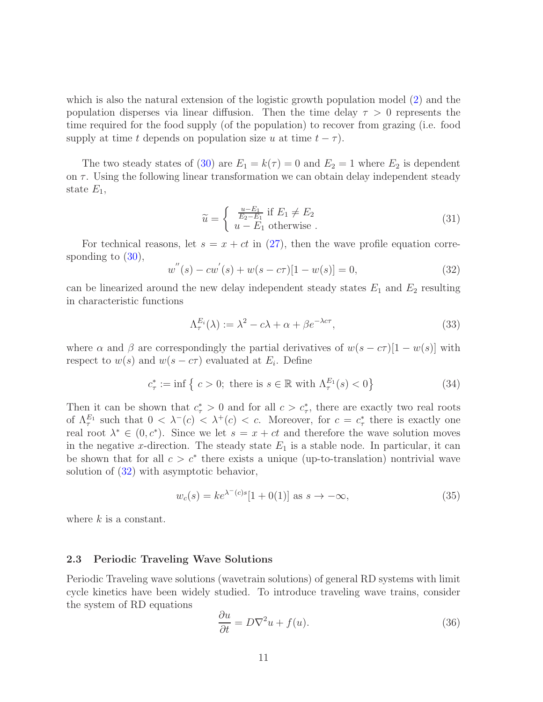which is also the natural extension of the logistic growth population model [\(2\)](#page-1-1) and the population disperses via linear diffusion. Then the time delay  $\tau > 0$  represents the time required for the food supply (of the population) to recover from grazing (i.e. food supply at time t depends on population size u at time  $t - \tau$ ).

The two steady states of [\(30\)](#page-9-1) are  $E_1 = k(\tau) = 0$  and  $E_2 = 1$  where  $E_2$  is dependent on  $\tau$ . Using the following linear transformation we can obtain delay independent steady state  $E_1$ ,

$$
\widetilde{u} = \begin{cases}\n\frac{u - E_1}{E_2 - E_1} & \text{if } E_1 \neq E_2 \\
u - E_1 & \text{otherwise}\n\end{cases} \tag{31}
$$

For technical reasons, let  $s = x + ct$  in [\(27\)](#page-8-2), then the wave profile equation corresponding to  $(30)$ ,

<span id="page-10-0"></span>
$$
w''(s) - cw'(s) + w(s - c\tau)[1 - w(s)] = 0,
$$
\n(32)

can be linearized around the new delay independent steady states  $E_1$  and  $E_2$  resulting in characteristic functions

$$
\Lambda_{\tau}^{E_i}(\lambda) := \lambda^2 - c\lambda + \alpha + \beta e^{-\lambda c\tau},\tag{33}
$$

where  $\alpha$  and  $\beta$  are correspondingly the partial derivatives of  $w(s - c\tau)[1 - w(s)]$  with respect to  $w(s)$  and  $w(s - c\tau)$  evaluated at  $E_i$ . Define

$$
c_{\tau}^* := \inf \left\{ c > 0; \text{ there is } s \in \mathbb{R} \text{ with } \Lambda_{\tau}^{E_1}(s) < 0 \right\}
$$
 (34)

Then it can be shown that  $c^*_{\tau} > 0$  and for all  $c > c^*_{\tau}$ , there are exactly two real roots of  $\Lambda_{\tau}^{E_1}$  such that  $0 < \lambda^{-1}(c) < \lambda^{+}(c) < c$ . Moreover, for  $c = c_{\tau}^{*}$  $_{\tau}^*$  there is exactly one real root  $\lambda^* \in (0, c^*)$ . Since we let  $s = x + ct$  and therefore the wave solution moves in the negative x-direction. The steady state  $E_1$  is a stable node. In particular, it can be shown that for all  $c > c^*$  there exists a unique (up-to-translation) nontrivial wave solution of [\(32\)](#page-10-0) with asymptotic behavior,

$$
w_c(s) = ke^{\lambda^-(c)s}[1+0(1)] \text{ as } s \to -\infty,
$$
\n(35)

where  $k$  is a constant.

## 2.3 Periodic Traveling Wave Solutions

Periodic Traveling wave solutions (wavetrain solutions) of general RD systems with limit cycle kinetics have been widely studied. To introduce traveling wave trains, consider the system of RD equations

<span id="page-10-1"></span>
$$
\frac{\partial u}{\partial t} = D\nabla^2 u + f(u). \tag{36}
$$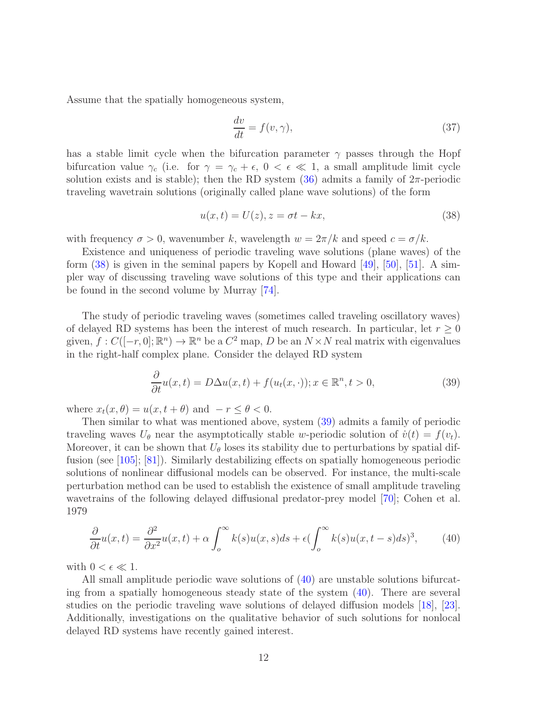Assume that the spatially homogeneous system,

$$
\frac{dv}{dt} = f(v, \gamma),\tag{37}
$$

has a stable limit cycle when the bifurcation parameter  $\gamma$  passes through the Hopf bifurcation value  $\gamma_c$  (i.e. for  $\gamma = \gamma_c + \epsilon$ ,  $0 < \epsilon \ll 1$ , a small amplitude limit cycle solution exists and is stable); then the RD system  $(36)$  admits a family of  $2\pi$ -periodic traveling wavetrain solutions (originally called plane wave solutions) of the form

<span id="page-11-0"></span>
$$
u(x,t) = U(z), z = \sigma t - kx,
$$
\n(38)

with frequency  $\sigma > 0$ , wavenumber k, wavelength  $w = 2\pi/k$  and speed  $c = \sigma/k$ .

Existence and uniqueness of periodic traveling wave solutions (plane waves) of the form  $(38)$  is given in the seminal papers by Kopell and Howard [\[49\]](#page-15-3), [50], [51]. A simpler way of discussing traveling wave solutions of this type and their applications can be found in the second volume by Murray [74].

The study of periodic traveling waves (sometimes called traveling oscillatory waves) of delayed RD systems has been the interest of much research. In particular, let  $r \geq 0$ given,  $f: C([-r, 0]; \mathbb{R}^n) \to \mathbb{R}^n$  be a  $C^2$  map, D be an  $N \times N$  real matrix with eigenvalues in the right-half complex plane. Consider the delayed RD system

<span id="page-11-1"></span>
$$
\frac{\partial}{\partial t}u(x,t) = D\Delta u(x,t) + f(u_t(x,\cdot)); x \in \mathbb{R}^n, t > 0,
$$
\n(39)

where  $x_t(x, \theta) = u(x, t + \theta)$  and  $-r \leq \theta < 0$ .

Then similar to what was mentioned above, system [\(39\)](#page-11-1) admits a family of periodic traveling waves  $U_{\theta}$  near the asymptotically stable w-periodic solution of  $\dot{v}(t) = f(v_t)$ . Moreover, it can be shown that  $U_{\theta}$  loses its stability due to perturbations by spatial diffusion (see [105]; [\[81\]](#page-18-1)). Similarly destabilizing effects on spatially homogeneous periodic solutions of nonlinear diffusional models can be observed. For instance, the multi-scale perturbation method can be used to establish the existence of small amplitude traveling wavetrains of the following delayed diffusional predator-prey model [70]; Cohen et al. 1979

<span id="page-11-2"></span>
$$
\frac{\partial}{\partial t}u(x,t) = \frac{\partial^2}{\partial x^2}u(x,t) + \alpha \int_0^\infty k(s)u(x,s)ds + \epsilon \left(\int_0^\infty k(s)u(x,t-s)ds\right)^3,\tag{40}
$$

with  $0 < \epsilon \ll 1$ .

All small amplitude periodic wave solutions of [\(40\)](#page-11-2) are unstable solutions bifurcating from a spatially homogeneous steady state of the system  $(40)$ . There are several studies on the periodic traveling wave solutions of delayed diffusion models [\[18\]](#page-13-9), [\[23\]](#page-14-3). Additionally, investigations on the qualitative behavior of such solutions for nonlocal delayed RD systems have recently gained interest.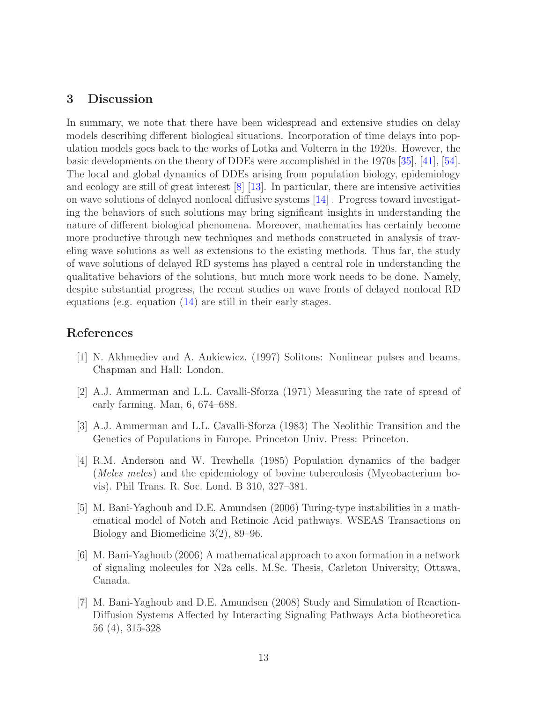# 3 Discussion

In summary, we note that there have been widespread and extensive studies on delay models describing different biological situations. Incorporation of time delays into population models goes back to the works of Lotka and Volterra in the 1920s. However, the basic developments on the theory of DDEs were accomplished in the 1970s [35], [41], [\[54\]](#page-16-0). The local and global dynamics of DDEs arising from population biology, epidemiology and ecology are still of great interest [8] [\[13\]](#page-13-3). In particular, there are intensive activities on wave solutions of delayed nonlocal diffusive systems [\[14\]](#page-13-6) . Progress toward investigating the behaviors of such solutions may bring significant insights in understanding the nature of different biological phenomena. Moreover, mathematics has certainly become more productive through new techniques and methods constructed in analysis of traveling wave solutions as well as extensions to the existing methods. Thus far, the study of wave solutions of delayed RD systems has played a central role in understanding the qualitative behaviors of the solutions, but much more work needs to be done. Namely, despite substantial progress, the recent studies on wave fronts of delayed nonlocal RD equations (e.g. equation [\(14\)](#page-4-0) are still in their early stages.

# References

- [1] N. Akhmediev and A. Ankiewicz. (1997) Solitons: Nonlinear pulses and beams. Chapman and Hall: London.
- [2] A.J. Ammerman and L.L. Cavalli-Sforza (1971) Measuring the rate of spread of early farming. Man, 6, 674–688.
- [3] A.J. Ammerman and L.L. Cavalli-Sforza (1983) The Neolithic Transition and the Genetics of Populations in Europe. Princeton Univ. Press: Princeton.
- [4] R.M. Anderson and W. Trewhella (1985) Population dynamics of the badger (*Meles meles*) and the epidemiology of bovine tuberculosis (Mycobacterium bovis). Phil Trans. R. Soc. Lond. B 310, 327–381.
- [5] M. Bani-Yaghoub and D.E. Amundsen (2006) Turing-type instabilities in a mathematical model of Notch and Retinoic Acid pathways. WSEAS Transactions on Biology and Biomedicine 3(2), 89–96.
- [6] M. Bani-Yaghoub (2006) A mathematical approach to axon formation in a network of signaling molecules for N2a cells. M.Sc. Thesis, Carleton University, Ottawa, Canada.
- <span id="page-12-0"></span>[7] M. Bani-Yaghoub and D.E. Amundsen (2008) Study and Simulation of Reaction-Diffusion Systems Affected by Interacting Signaling Pathways Acta biotheoretica 56 (4), 315-328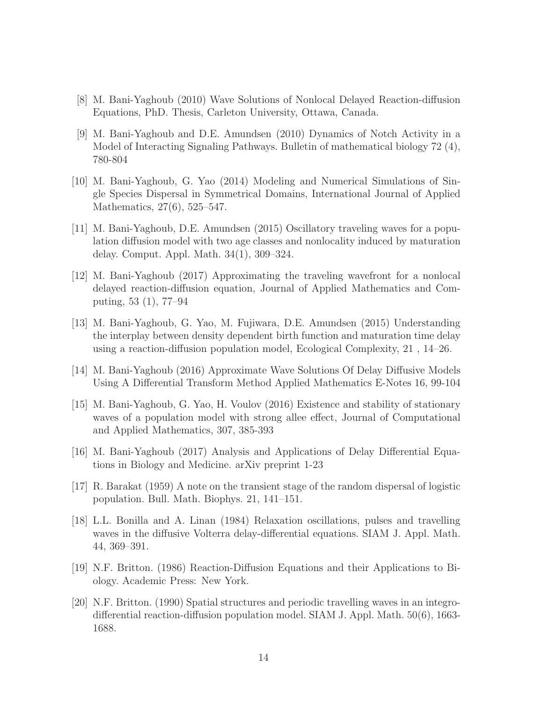- <span id="page-13-0"></span>[8] M. Bani-Yaghoub (2010) Wave Solutions of Nonlocal Delayed Reaction-diffusion Equations, PhD. Thesis, Carleton University, Ottawa, Canada.
- [9] M. Bani-Yaghoub and D.E. Amundsen (2010) Dynamics of Notch Activity in a Model of Interacting Signaling Pathways. Bulletin of mathematical biology 72 (4), 780-804
- <span id="page-13-1"></span>[10] M. Bani-Yaghoub, G. Yao (2014) Modeling and Numerical Simulations of Single Species Dispersal in Symmetrical Domains, International Journal of Applied Mathematics, 27(6), 525–547.
- <span id="page-13-2"></span>[11] M. Bani-Yaghoub, D.E. Amundsen (2015) Oscillatory traveling waves for a population diffusion model with two age classes and nonlocality induced by maturation delay. Comput. Appl. Math. 34(1), 309–324.
- <span id="page-13-4"></span>[12] M. Bani-Yaghoub (2017) Approximating the traveling wavefront for a nonlocal delayed reaction-diffusion equation, Journal of Applied Mathematics and Computing, 53 (1), 77–94
- <span id="page-13-3"></span>[13] M. Bani-Yaghoub, G. Yao, M. Fujiwara, D.E. Amundsen (2015) Understanding the interplay between density dependent birth function and maturation time delay using a reaction-diffusion population model, Ecological Complexity, 21 , 14–26.
- <span id="page-13-7"></span><span id="page-13-6"></span>[14] M. Bani-Yaghoub (2016) Approximate Wave Solutions Of Delay Diffusive Models Using A Differential Transform Method Applied Mathematics E-Notes 16, 99-104
- [15] M. Bani-Yaghoub, G. Yao, H. Voulov (2016) Existence and stability of stationary waves of a population model with strong allee effect, Journal of Computational and Applied Mathematics, 307, 385-393
- <span id="page-13-8"></span><span id="page-13-5"></span>[16] M. Bani-Yaghoub (2017) Analysis and Applications of Delay Differential Equations in Biology and Medicine. arXiv preprint 1-23
- [17] R. Barakat (1959) A note on the transient stage of the random dispersal of logistic population. Bull. Math. Biophys. 21, 141–151.
- <span id="page-13-9"></span>[18] L.L. Bonilla and A. Linan (1984) Relaxation oscillations, pulses and travelling waves in the diffusive Volterra delay-differential equations. SIAM J. Appl. Math. 44, 369–391.
- [19] N.F. Britton. (1986) Reaction-Diffusion Equations and their Applications to Biology. Academic Press: New York.
- [20] N.F. Britton. (1990) Spatial structures and periodic travelling waves in an integrodifferential reaction-diffusion population model. SIAM J. Appl. Math. 50(6), 1663- 1688.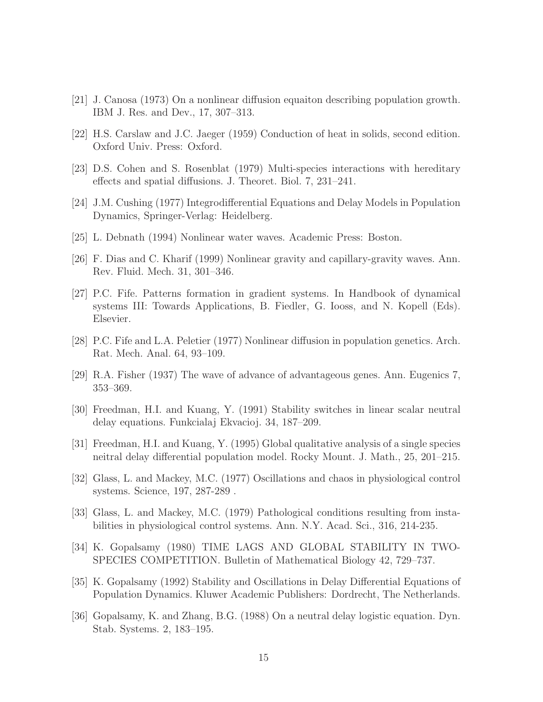- <span id="page-14-2"></span>[21] J. Canosa (1973) On a nonlinear diffusion equaiton describing population growth. IBM J. Res. and Dev., 17, 307–313.
- <span id="page-14-3"></span>[22] H.S. Carslaw and J.C. Jaeger (1959) Conduction of heat in solids, second edition. Oxford Univ. Press: Oxford.
- [23] D.S. Cohen and S. Rosenblat (1979) Multi-species interactions with hereditary effects and spatial diffusions. J. Theoret. Biol. 7, 231–241.
- [24] J.M. Cushing (1977) Integrodifferential Equations and Delay Models in Population Dynamics, Springer-Verlag: Heidelberg.
- [25] L. Debnath (1994) Nonlinear water waves. Academic Press: Boston.
- [26] F. Dias and C. Kharif (1999) Nonlinear gravity and capillary-gravity waves. Ann. Rev. Fluid. Mech. 31, 301–346.
- [27] P.C. Fife. Patterns formation in gradient systems. In Handbook of dynamical systems III: Towards Applications, B. Fiedler, G. Iooss, and N. Kopell (Eds). Elsevier.
- <span id="page-14-1"></span>[28] P.C. Fife and L.A. Peletier (1977) Nonlinear diffusion in population genetics. Arch. Rat. Mech. Anal. 64, 93–109.
- [29] R.A. Fisher (1937) The wave of advance of advantageous genes. Ann. Eugenics 7, 353–369.
- [30] Freedman, H.I. and Kuang, Y. (1991) Stability switches in linear scalar neutral delay equations. Funkcialaj Ekvacioj. 34, 187–209.
- [31] Freedman, H.I. and Kuang, Y. (1995) Global qualitative analysis of a single species neitral delay differential population model. Rocky Mount. J. Math., 25, 201–215.
- [32] Glass, L. and Mackey, M.C. (1977) Oscillations and chaos in physiological control systems. Science, 197, 287-289 .
- [33] Glass, L. and Mackey, M.C. (1979) Pathological conditions resulting from instabilities in physiological control systems. Ann. N.Y. Acad. Sci., 316, 214-235.
- [34] K. Gopalsamy (1980) TIME LAGS AND GLOBAL STABILITY IN TWO-SPECIES COMPETITION. Bulletin of Mathematical Biology 42, 729–737.
- [35] K. Gopalsamy (1992) Stability and Oscillations in Delay Differential Equations of Population Dynamics. Kluwer Academic Publishers: Dordrecht, The Netherlands.
- <span id="page-14-0"></span>[36] Gopalsamy, K. and Zhang, B.G. (1988) On a neutral delay logistic equation. Dyn. Stab. Systems. 2, 183–195.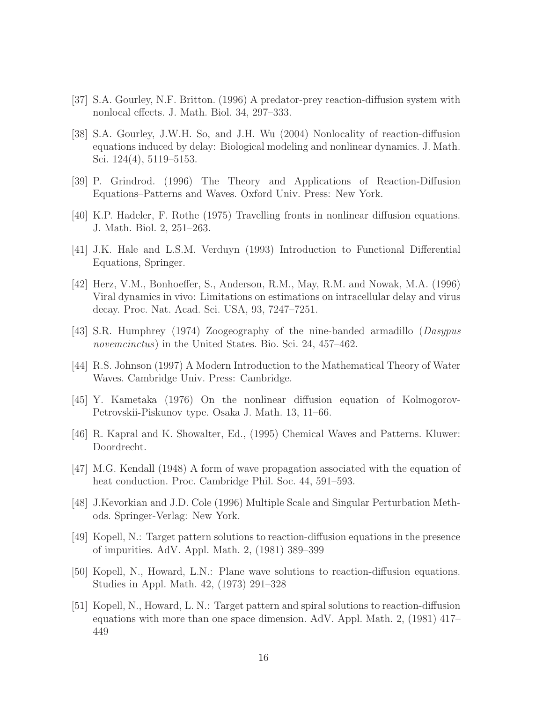- [37] S.A. Gourley, N.F. Britton. (1996) A predator-prey reaction-diffusion system with nonlocal effects. J. Math. Biol. 34, 297–333.
- [38] S.A. Gourley, J.W.H. So, and J.H. Wu (2004) Nonlocality of reaction-diffusion equations induced by delay: Biological modeling and nonlinear dynamics. J. Math. Sci. 124(4), 5119–5153.
- <span id="page-15-0"></span>[39] P. Grindrod. (1996) The Theory and Applications of Reaction-Diffusion Equations–Patterns and Waves. Oxford Univ. Press: New York.
- [40] K.P. Hadeler, F. Rothe (1975) Travelling fronts in nonlinear diffusion equations. J. Math. Biol. 2, 251–263.
- [41] J.K. Hale and L.S.M. Verduyn (1993) Introduction to Functional Differential Equations, Springer.
- [42] Herz, V.M., Bonhoeffer, S., Anderson, R.M., May, R.M. and Nowak, M.A. (1996) Viral dynamics in vivo: Limitations on estimations on intracellular delay and virus decay. Proc. Nat. Acad. Sci. USA, 93, 7247–7251.
- [43] S.R. Humphrey (1974) Zoogeography of the nine-banded armadillo (*Dasypus novemcinctus*) in the United States. Bio. Sci. 24, 457–462.
- <span id="page-15-1"></span>[44] R.S. Johnson (1997) A Modern Introduction to the Mathematical Theory of Water Waves. Cambridge Univ. Press: Cambridge.
- [45] Y. Kametaka (1976) On the nonlinear diffusion equation of Kolmogorov-Petrovskii-Piskunov type. Osaka J. Math. 13, 11–66.
- [46] R. Kapral and K. Showalter, Ed., (1995) Chemical Waves and Patterns. Kluwer: Doordrecht.
- <span id="page-15-2"></span>[47] M.G. Kendall (1948) A form of wave propagation associated with the equation of heat conduction. Proc. Cambridge Phil. Soc. 44, 591–593.
- <span id="page-15-3"></span>[48] J.Kevorkian and J.D. Cole (1996) Multiple Scale and Singular Perturbation Methods. Springer-Verlag: New York.
- [49] Kopell, N.: Target pattern solutions to reaction-diffusion equations in the presence of impurities. AdV. Appl. Math. 2, (1981) 389–399
- [50] Kopell, N., Howard, L.N.: Plane wave solutions to reaction-diffusion equations. Studies in Appl. Math. 42, (1973) 291–328
- [51] Kopell, N., Howard, L. N.: Target pattern and spiral solutions to reaction-diffusion equations with more than one space dimension. AdV. Appl. Math. 2, (1981) 417– 449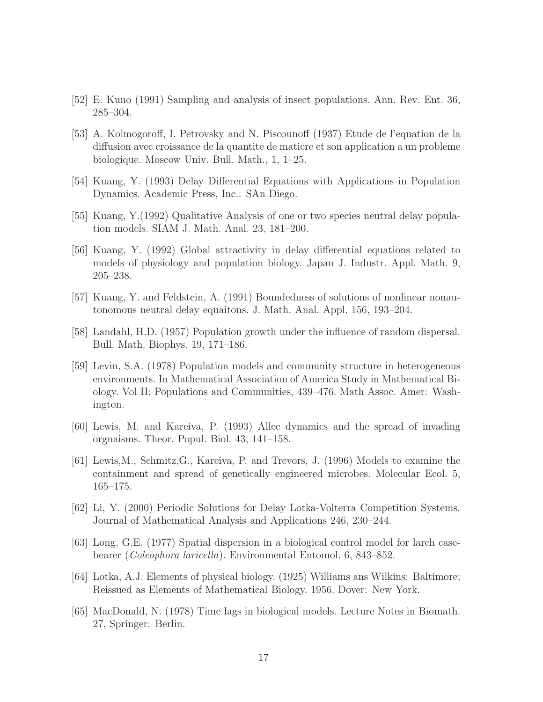- <span id="page-16-3"></span>[52] E. Kuno (1991) Sampling and analysis of insect populations. Ann. Rev. Ent. 36, 285–304.
- [53] A. Kolmogoroff, I. Petrovsky and N. Piscounoff (1937) Etude de l'equation de la diffusion avec croissance de la quantite de matiere et son application a un probleme biologique. Moscow Univ. Bull. Math., 1, 1–25.
- <span id="page-16-0"></span>[54] Kuang, Y. (1993) Delay Differential Equations with Applications in Population Dynamics. Academic Press, Inc.: SAn Diego.
- [55] Kuang, Y.(1992) Qualitative Analysis of one or two species neutral delay population models. SIAM J. Math. Anal. 23, 181–200.
- [56] Kuang, Y. (1992) Global attractivity in delay differential equations related to models of physiology and population biology. Japan J. Industr. Appl. Math. 9, 205–238.
- <span id="page-16-2"></span>[57] Kuang, Y. and Feldstein, A. (1991) Boundedness of solutions of nonlinear nonautonomous neutral delay equaitons. J. Math. Anal. Appl. 156, 193–204.
- <span id="page-16-1"></span>[58] Landahl, H.D. (1957) Population growth under the influence of random dispersal. Bull. Math. Biophys. 19, 171–186.
- [59] Levin, S.A. (1978) Population models and community structure in heterogeneous environments. In Mathematical Association of America Study in Mathematical Biology. Vol II: Populations and Communities, 439–476. Math Assoc. Amer: Washington.
- [60] Lewis, M. and Kareiva, P. (1993) Allee dynamics and the spread of invading orgnaisms. Theor. Popul. Biol. 43, 141–158.
- [61] Lewis,M., Schmitz,G., Kareiva, P. and Trevors, J. (1996) Models to examine the containment and spread of genetically engineered microbes. Molecular Ecol. 5, 165–175.
- [62] Li, Y. (2000) Periodic Solutions for Delay Lotka-Volterra Competition Systems. Journal of Mathematical Analysis and Applications 246, 230–244.
- [63] Long, G.E. (1977) Spatial dispersion in a biological control model for larch casebearer (*Coleophora laricella*). Environmental Entomol. 6, 843–852.
- [64] Lotka, A.J. Elements of physical biology. (1925) Williams ans Wilkins: Baltimore; Reissued as Elements of Mathematical Biology. 1956. Dover: New York.
- [65] MacDonald, N. (1978) Time lags in biological models. Lecture Notes in Biomath. 27, Springer: Berlin.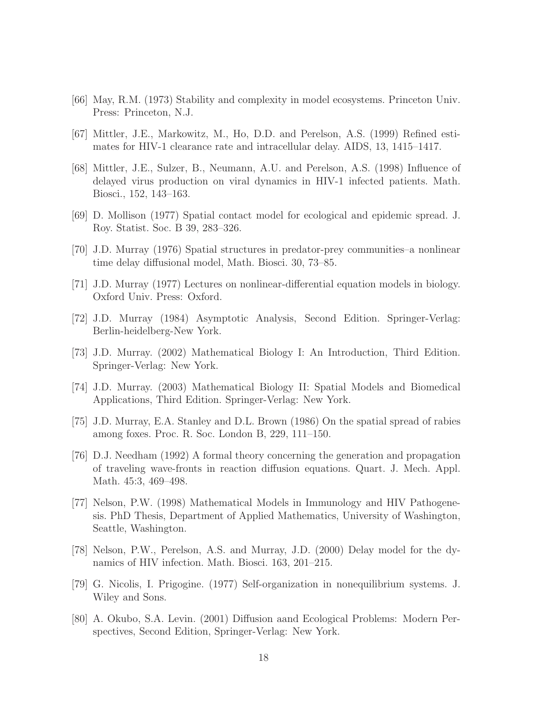- <span id="page-17-0"></span>[66] May, R.M. (1973) Stability and complexity in model ecosystems. Princeton Univ. Press: Princeton, N.J.
- [67] Mittler, J.E., Markowitz, M., Ho, D.D. and Perelson, A.S. (1999) Refined estimates for HIV-1 clearance rate and intracellular delay. AIDS, 13, 1415–1417.
- [68] Mittler, J.E., Sulzer, B., Neumann, A.U. and Perelson, A.S. (1998) Influence of delayed virus production on viral dynamics in HIV-1 infected patients. Math. Biosci., 152, 143–163.
- [69] D. Mollison (1977) Spatial contact model for ecological and epidemic spread. J. Roy. Statist. Soc. B 39, 283–326.
- <span id="page-17-1"></span>[70] J.D. Murray (1976) Spatial structures in predator-prey communities–a nonlinear time delay diffusional model, Math. Biosci. 30, 73–85.
- [71] J.D. Murray (1977) Lectures on nonlinear-differential equation models in biology. Oxford Univ. Press: Oxford.
- [72] J.D. Murray (1984) Asymptotic Analysis, Second Edition. Springer-Verlag: Berlin-heidelberg-New York.
- [73] J.D. Murray. (2002) Mathematical Biology I: An Introduction, Third Edition. Springer-Verlag: New York.
- [74] J.D. Murray. (2003) Mathematical Biology II: Spatial Models and Biomedical Applications, Third Edition. Springer-Verlag: New York.
- [75] J.D. Murray, E.A. Stanley and D.L. Brown (1986) On the spatial spread of rabies among foxes. Proc. R. Soc. London B, 229, 111–150.
- [76] D.J. Needham (1992) A formal theory concerning the generation and propagation of traveling wave-fronts in reaction diffusion equations. Quart. J. Mech. Appl. Math. 45:3, 469–498.
- [77] Nelson, P.W. (1998) Mathematical Models in Immunology and HIV Pathogenesis. PhD Thesis, Department of Applied Mathematics, University of Washington, Seattle, Washington.
- [78] Nelson, P.W., Perelson, A.S. and Murray, J.D. (2000) Delay model for the dynamics of HIV infection. Math. Biosci. 163, 201–215.
- [79] G. Nicolis, I. Prigogine. (1977) Self-organization in nonequilibrium systems. J. Wiley and Sons.
- [80] A. Okubo, S.A. Levin. (2001) Diffusion aand Ecological Problems: Modern Perspectives, Second Edition, Springer-Verlag: New York.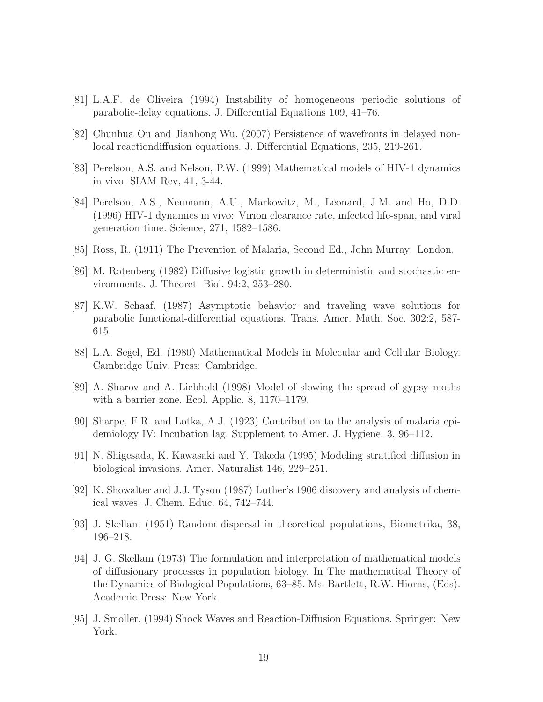- <span id="page-18-1"></span>[81] L.A.F. de Oliveira (1994) Instability of homogeneous periodic solutions of parabolic-delay equations. J. Differential Equations 109, 41–76.
- [82] Chunhua Ou and Jianhong Wu. (2007) Persistence of wavefronts in delayed nonlocal reactiondiffusion equations. J. Differential Equations, 235, 219-261.
- [83] Perelson, A.S. and Nelson, P.W. (1999) Mathematical models of HIV-1 dynamics in vivo. SIAM Rev, 41, 3-44.
- [84] Perelson, A.S., Neumann, A.U., Markowitz, M., Leonard, J.M. and Ho, D.D. (1996) HIV-1 dynamics in vivo: Virion clearance rate, infected life-span, and viral generation time. Science, 271, 1582–1586.
- <span id="page-18-0"></span>[85] Ross, R. (1911) The Prevention of Malaria, Second Ed., John Murray: London.
- [86] M. Rotenberg (1982) Diffusive logistic growth in deterministic and stochastic environments. J. Theoret. Biol. 94:2, 253–280.
- [87] K.W. Schaaf. (1987) Asymptotic behavior and traveling wave solutions for parabolic functional-differential equations. Trans. Amer. Math. Soc. 302:2, 587- 615.
- [88] L.A. Segel, Ed. (1980) Mathematical Models in Molecular and Cellular Biology. Cambridge Univ. Press: Cambridge.
- [89] A. Sharov and A. Liebhold (1998) Model of slowing the spread of gypsy moths with a barrier zone. Ecol. Applic. 8, 1170–1179.
- [90] Sharpe, F.R. and Lotka, A.J. (1923) Contribution to the analysis of malaria epidemiology IV: Incubation lag. Supplement to Amer. J. Hygiene. 3, 96–112.
- [91] N. Shigesada, K. Kawasaki and Y. Takeda (1995) Modeling stratified diffusion in biological invasions. Amer. Naturalist 146, 229–251.
- [92] K. Showalter and J.J. Tyson (1987) Luther's 1906 discovery and analysis of chemical waves. J. Chem. Educ. 64, 742–744.
- [93] J. Skellam (1951) Random dispersal in theoretical populations, Biometrika, 38, 196–218.
- [94] J. G. Skellam (1973) The formulation and interpretation of mathematical models of diffusionary processes in population biology. In The mathematical Theory of the Dynamics of Biological Populations, 63–85. Ms. Bartlett, R.W. Hiorns, (Eds). Academic Press: New York.
- [95] J. Smoller. (1994) Shock Waves and Reaction-Diffusion Equations. Springer: New York.